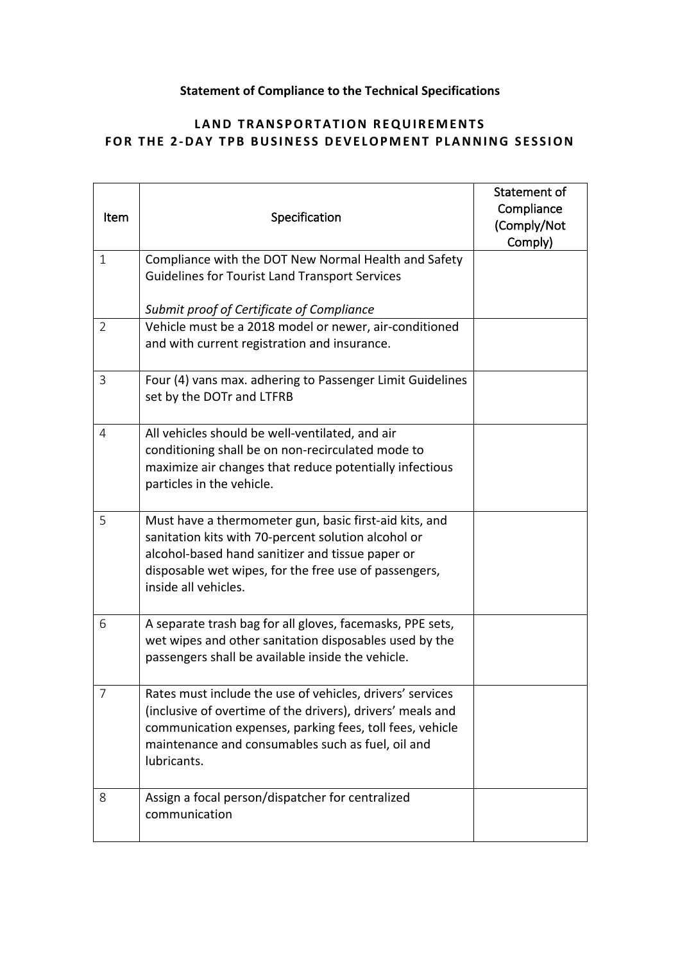## **Statement of Compliance to the Technical Specifications**

## **LAND TRANSPORTATION REQUIREMENTS FOR THE 2-DAY TPB BUSINESS DEVELOPMENT PLANNING SESSION**

| Item           | Specification                                                                                                                                                                                                                                           | Statement of<br>Compliance<br>(Comply/Not<br>Comply) |
|----------------|---------------------------------------------------------------------------------------------------------------------------------------------------------------------------------------------------------------------------------------------------------|------------------------------------------------------|
| $\mathbf{1}$   | Compliance with the DOT New Normal Health and Safety<br><b>Guidelines for Tourist Land Transport Services</b>                                                                                                                                           |                                                      |
|                | Submit proof of Certificate of Compliance                                                                                                                                                                                                               |                                                      |
| $\overline{2}$ | Vehicle must be a 2018 model or newer, air-conditioned<br>and with current registration and insurance.                                                                                                                                                  |                                                      |
| 3              | Four (4) vans max. adhering to Passenger Limit Guidelines<br>set by the DOTr and LTFRB                                                                                                                                                                  |                                                      |
| 4              | All vehicles should be well-ventilated, and air<br>conditioning shall be on non-recirculated mode to<br>maximize air changes that reduce potentially infectious<br>particles in the vehicle.                                                            |                                                      |
| 5              | Must have a thermometer gun, basic first-aid kits, and<br>sanitation kits with 70-percent solution alcohol or<br>alcohol-based hand sanitizer and tissue paper or<br>disposable wet wipes, for the free use of passengers,<br>inside all vehicles.      |                                                      |
| 6              | A separate trash bag for all gloves, facemasks, PPE sets,<br>wet wipes and other sanitation disposables used by the<br>passengers shall be available inside the vehicle.                                                                                |                                                      |
| $\overline{7}$ | Rates must include the use of vehicles, drivers' services<br>(inclusive of overtime of the drivers), drivers' meals and<br>communication expenses, parking fees, toll fees, vehicle<br>maintenance and consumables such as fuel, oil and<br>lubricants. |                                                      |
| 8              | Assign a focal person/dispatcher for centralized<br>communication                                                                                                                                                                                       |                                                      |